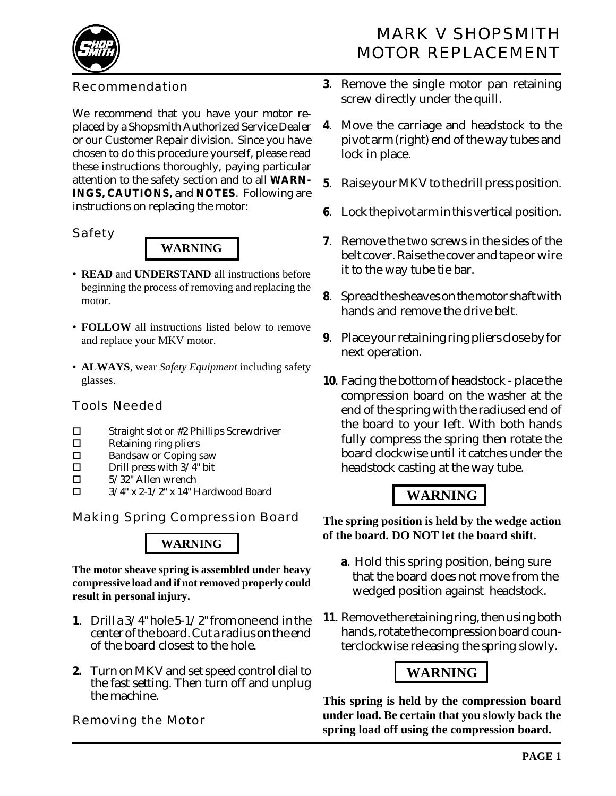

# MARK V SHOPSMITH MOTOR REPLACEMENT

#### Recommendation

We recommend that you have your motor replaced by a Shopsmith Authorized Service Dealer or our Customer Repair division. Since you have chosen to do this procedure yourself, please read these instructions thoroughly, paying particular attention to the safety section and to all **WARN-INGS, CAUTIONS,** and **NOTES**. Following are instructions on replacing the motor:

#### *Safety*



- **READ** and **UNDERSTAND** all instructions before beginning the process of removing and replacing the motor.
- **FOLLOW** all instructions listed below to remove and replace your MKV motor.
- **ALWAYS**, wear *Safety Equipment* including safety glasses.

#### *Tools Needed*

- $\square$  Straight slot or #2 Phillips Screwdriver
- $\square$  Retaining ring pliers<br> $\square$  Randsaw or Coping s
- **Bandsaw or Coping saw**
- $\Box$  Drill press with  $3/4$ " bit
- $\Box$  5/32" Allen wrench<br> $\Box$  3/4" x 2-1/2" x 14" F
- ! 3/4" x 2-1/2" x 14" Hardwood Board

*Making Spring Compression Board*

## **WARNING**

**The motor sheave spring is assembled under heavy compressive load and if not removed properly could result in personal injury.**

- **1**. Drill a 3/4" hole 5-1/2" from one end in the center of the board. Cut a radius on the end of the board closest to the hole.
- **2.** Turn on MKV and set speed control dial to the fast setting. Then turn off and unplug the machine.

*Removing the Motor*

- **3**. Remove the single motor pan retaining screw directly under the quill.
- **4**. Move the carriage and headstock to the pivot arm (right) end of the way tubes and lock in place.
- **5**. Raise your MKV to the drill press position.
- **6**. Lock the pivot arm in this vertical position.
- **7**. Remove the two screws in the sides of the belt cover. Raise the cover and tape or wire it to the way tube tie bar.
- **8**. Spread the sheaves on the motor shaft with hands and remove the drive belt.
- **9**. Place your retaining ring pliers close by for next operation.
- **10**. Facing the bottom of headstock place the compression board on the washer at the end of the spring with the radiused end of the board to your left. With both hands fully compress the spring then rotate the board clockwise until it catches under the headstock casting at the way tube.

# **WARNING**

**The spring position is held by the wedge action of the board. DO NOT let the board shift.**

- **a**. Hold this spring position, being sure that the board does not move from the wedged position against headstock.
- **11**. Remove the retaining ring, then using both hands, rotate the compression board counterclockwise releasing the spring slowly.

# **WARNING**

**This spring is held by the compression board under load. Be certain that you slowly back the spring load off using the compression board.**